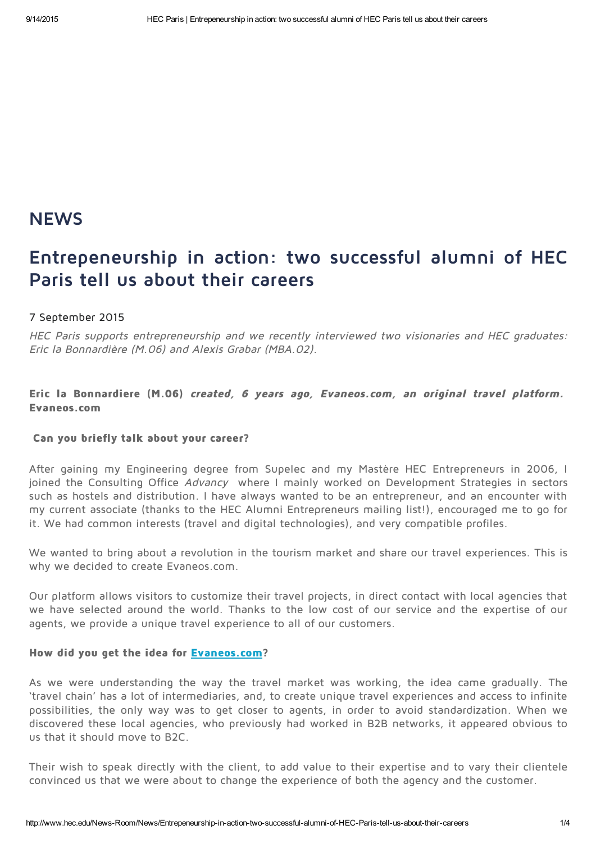# **NEWS**

# Entrepeneurship in action: two successful alumni of HEC Paris tell us about their careers

### 7 September 2015

HEC Paris supports entrepreneurship and we recently interviewed two visionaries and HEC graduates: Eric la Bonnardière (M.06) and Alexis Grabar (MBA.02).

# Eric la Bonnardiere (M.06) created, <sup>6</sup> years ago, Evaneos.com, an original travel platform. Evaneos.com

#### Can you briefly talk about your career?

After gaining my Engineering degree from Supelec and my Mastère HEC Entrepreneurs in 2006, I joined the Consulting Office Advancy where I mainly worked on Development Strategies in sectors such as hostels and distribution. I have always wanted to be an entrepreneur, and an encounter with my current associate (thanks to the HEC Alumni Entrepreneurs mailing list!), encouraged me to go for it. We had common interests (travel and digital technologies), and very compatible profiles.

We wanted to bring about a revolution in the tourism market and share our travel experiences. This is why we decided to create Evaneos.com.

Our platform allows visitors to customize their travel projects, in direct contact with local agencies that we have selected around the world. Thanks to the low cost of our service and the expertise of our agents, we provide a unique travel experience to all of our customers.

#### How did you get the idea for [Evaneos.com?](http://www.evaneos-travel.com/)

As we were understanding the way the travel market was working, the idea came gradually. The 'travel chain' has a lot of intermediaries, and, to create unique travel experiences and access to infinite possibilities, the only way was to get closer to agents, in order to avoid standardization. When we discovered these local agencies, who previously had worked in B2B networks, it appeared obvious to us that it should move to B2C.

Their wish to speak directly with the client, to add value to their expertise and to vary their clientele convinced us that we were about to change the experience of both the agency and the customer.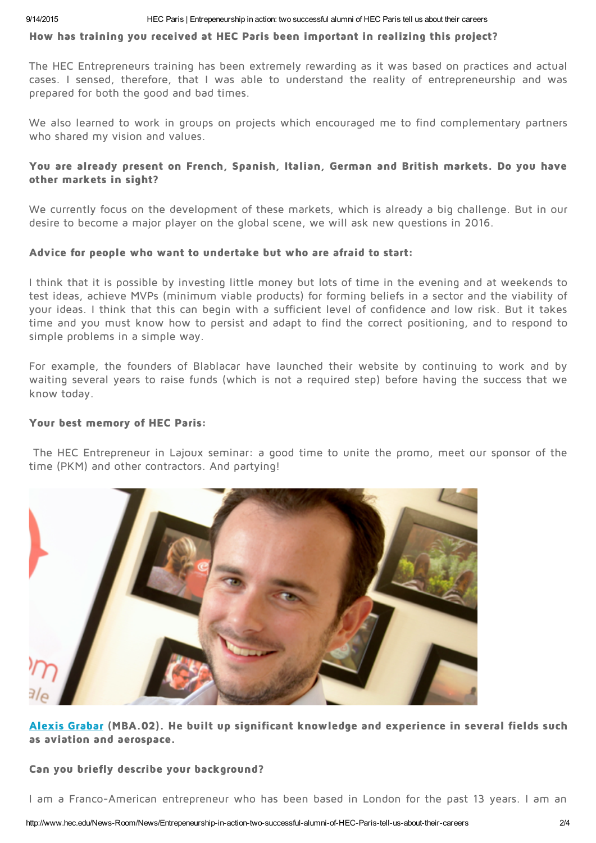#### How has training you received at HEC Paris been important in realizing this project?

The HEC Entrepreneurs training has been extremely rewarding as it was based on practices and actual cases. I sensed, therefore, that I was able to understand the reality of entrepreneurship and was prepared for both the good and bad times.

We also learned to work in groups on projects which encouraged me to find complementary partners who shared my vision and values.

## You are already present on French, Spanish, Italian, German and British markets. Do you have other markets in sight?

We currently focus on the development of these markets, which is already a big challenge. But in our desire to become a major player on the global scene, we will ask new questions in 2016.

### Advice for people who want to undertake but who are afraid to start:

I think that it is possible by investing little money but lots of time in the evening and at weekends to test ideas, achieve MVPs (minimum viable products) for forming beliefs in a sector and the viability of your ideas. I think that this can begin with a sufficient level of confidence and low risk. But it takes time and you must know how to persist and adapt to find the correct positioning, and to respond to simple problems in a simple way.

For example, the founders of Blablacar have launched their website by continuing to work and by waiting several years to raise funds (which is not a required step) before having the success that we know today.

### Your best memory of HEC Paris:

The HEC Entrepreneur in Lajoux seminar: a good time to unite the promo, meet our sponsor of the time (PKM) and other contractors. And partying!



Alexis [Grabar](http://www.mba.hec.edu/Careers/Alumni-Profiles/Alexis-GRABAR) (MBA.02). He built up significant knowledge and experience in several fields such as aviation and aerospace.

### Can you briefly describe your background?

I am a Franco-American entrepreneur who has been based in London for the past 13 years. I am an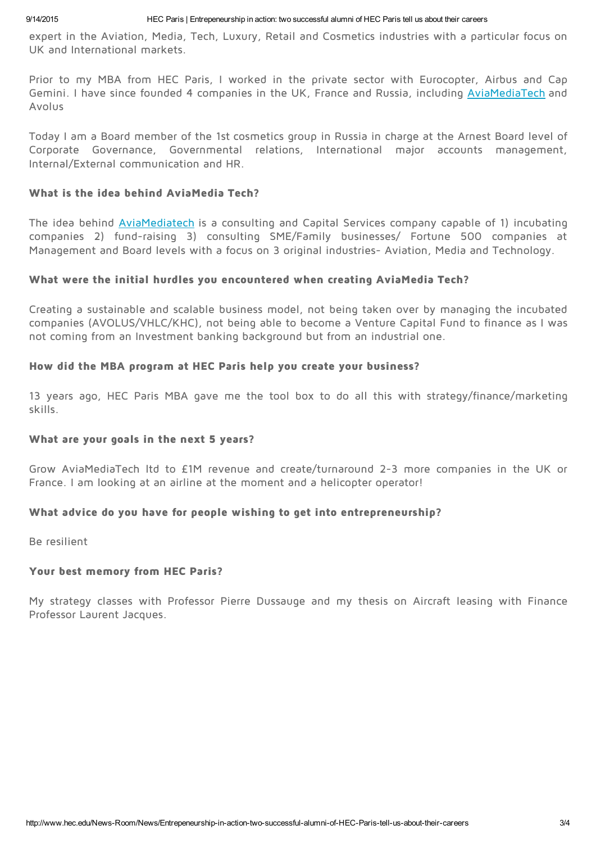expert in the Aviation, Media, Tech, Luxury, Retail and Cosmetics industries with a particular focus on UK and International markets.

Prior to my MBA from HEC Paris, I worked in the private sector with Eurocopter, Airbus and Cap Gemini. I have since founded 4 companies in the UK, France and Russia, including [AviaMediaTech](http://www.aviamediatech.com/) and Avolus

Today I am a Board member of the 1st cosmetics group in Russia in charge at the Arnest Board level of Corporate Governance, Governmental relations, International major accounts management, Internal/External communication and HR.

# What is the idea behind AviaMedia Tech?

The idea behind [AviaMediatech](http://www.aviamediatech.com/) is a consulting and Capital Services company capable of 1) incubating companies 2) fund-raising 3) consulting SME/Family businesses/ Fortune 500 companies at Management and Board levels with a focus on 3 original industries- Aviation, Media and Technology.

# What were the initial hurdles you encountered when creating AviaMedia Tech?

Creating a sustainable and scalable business model, not being taken over by managing the incubated companies (AVOLUS/VHLC/KHC), not being able to become a Venture Capital Fund to finance as I was not coming from an Investment banking background but from an industrial one.

# How did the MBA program at HEC Paris help you create your business?

13 years ago, HEC Paris MBA gave me the tool box to do all this with strategy/finance/marketing skills.

# What are your goals in the next 5 years?

Grow AviaMediaTech ltd to £1M revenue and create/turnaround 2-3 more companies in the UK or France. I am looking at an airline at the moment and a helicopter operator!

# What advice do you have for people wishing to get into entrepreneurship?

Be resilient

# Your best memory from HEC Paris?

My strategy classes with Professor Pierre Dussauge and my thesis on Aircraft leasing with Finance Professor Laurent Jacques.